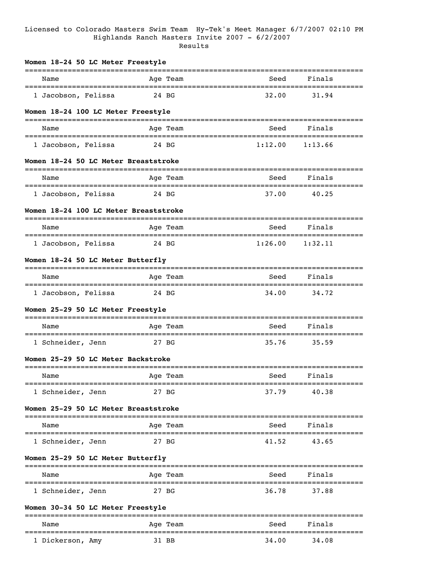## Licensed to Colorado Masters Swim Team Hy-Tek's Meet Manager 6/7/2007 02:10 PM Highlands Ranch Masters Invite 2007 - 6/2/2007 Results

| Women 18-24 50 LC Meter Freestyle                        |                                     |                              |                                  |
|----------------------------------------------------------|-------------------------------------|------------------------------|----------------------------------|
| Name                                                     | Age Team                            | Seed                         | Finals                           |
| =================================<br>1 Jacobson, Felissa | 24 BG                               | ===================<br>32.00 | =========<br>----------<br>31.94 |
| Women 18-24 100 LC Meter Freestyle                       |                                     |                              |                                  |
| Name                                                     | Age Team                            | Seed                         | Finals                           |
| 1 Jacobson, Felissa                                      | 24 BG                               | 1:12.00                      | 1:13.66                          |
| Women 18-24 50 LC Meter Breaststroke                     |                                     |                              |                                  |
| Name                                                     | Age Team                            | Seed                         | Finals                           |
| 1 Jacobson, Felissa                                      | 24 BG                               | 37.00                        | 40.25                            |
| Women 18-24 100 LC Meter Breaststroke                    |                                     |                              |                                  |
| Name                                                     | Age Team                            | Seed                         | Finals                           |
| 1 Jacobson, Felissa                                      | 24 BG                               | 1:26.00                      | =====================<br>1:32.11 |
| Women 18-24 50 LC Meter Butterfly                        |                                     |                              |                                  |
| Name                                                     | Age Team                            | Seed                         | Finals                           |
| 1 Jacobson, Felissa                                      | 24 BG                               | 34.00                        | 34.72                            |
| Women 25-29 50 LC Meter Freestyle                        |                                     |                              |                                  |
| Name                                                     | Age Team                            | Seed                         | Finals                           |
| 1 Schneider, Jenn                                        | 27 BG                               | 35.76                        | 35.59                            |
| Women 25-29 50 LC Meter Backstroke                       |                                     |                              |                                  |
| Name                                                     | Age Team                            | Seed                         | Finals                           |
| 1 Schneider, Jenn                                        | 27 BG                               | 37.79                        | 40.38                            |
| Women 25-29 50 LC Meter Breaststroke                     |                                     |                              |                                  |
| :===========<br>Name                                     | =======================<br>Age Team | Seed                         | Finals                           |
| 1 Schneider, Jenn                                        | 27 BG                               | 41.52                        | 43.65                            |
| Women 25-29 50 LC Meter Butterfly                        |                                     |                              |                                  |
| -----------------------<br>Name                          | Age Team                            | Seed                         | Finals                           |
| 1 Schneider, Jenn                                        | 27 BG                               | 36.78                        | 37.88                            |
| Women 30-34 50 LC Meter Freestyle                        |                                     |                              |                                  |
| Name                                                     | Age Team                            | Seed                         | Finals                           |
| 1 Dickerson, Amy                                         | 31 BB                               | 34.00                        | 34.08                            |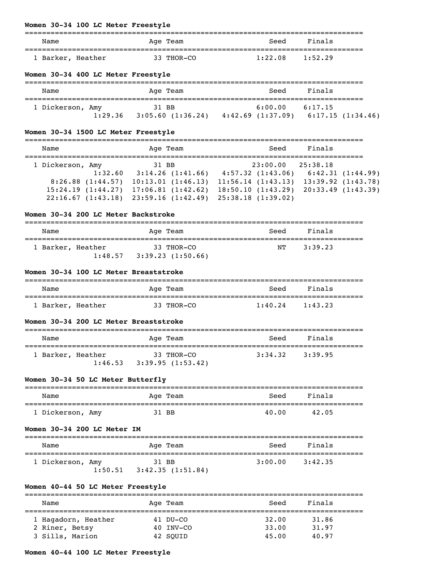## **Women 30-34 100 LC Meter Freestyle**

| Name              | Age Team   | Finals<br>Seed     |
|-------------------|------------|--------------------|
| 1 Barker, Heather | 33 THOR-CO | 1:22.08<br>1:52.29 |

## **Women 30-34 400 LC Meter Freestyle**

| Name             | Age Team          | Seed                                        | Finals  |
|------------------|-------------------|---------------------------------------------|---------|
| 1 Dickerson, Amy | 31 BB             | 6:00.00                                     | 6:17.15 |
| 1:29.36          | 3:05.60 (1:36.24) | $4:42.69$ $(1:37.09)$ $6:17.15$ $(1:34.46)$ |         |

## **Women 30-34 1500 LC Meter Freestyle**

| Name              |                  | Age Team          |                   | Seed                  | Finals            |                        |
|-------------------|------------------|-------------------|-------------------|-----------------------|-------------------|------------------------|
|                   |                  |                   |                   |                       |                   |                        |
| 1 Dickerson, Amy  |                  | 31 BB             |                   | 23:00.00              | 25:38.18          |                        |
|                   | 1:32.60          | 3:14.26(1:41.66)  |                   | $4:57.32$ $(1:43.06)$ |                   | 6:42.31(1:44.99)       |
|                   | 8:26.88(1:44.57) | 10:13.01(1:46.13) |                   | 11:56.14(1:43.13)     |                   | $13:39.92$ $(1:43.78)$ |
| 15:24.19(1:44.27) |                  | 17:06.81(1:42.62) |                   | 18:50.10(1:43.29)     | 20:33.49(1:43.39) |                        |
| 22:16.67(1:43.18) |                  | 23:59.16(1:42.49) | 25:38.18(1:39.02) |                       |                   |                        |

#### **Women 30-34 200 LC Meter Backstroke**

| Name              |         | Age Team                       | Seed | Finals  |
|-------------------|---------|--------------------------------|------|---------|
| 1 Barker, Heather | 1:48.57 | 33 THOR-CO<br>3:39.23(1:50.66) | NT   | 3:39.23 |

#### **Women 30-34 100 LC Meter Breaststroke**

| Name              | Age Team   | Seed    | Finals  |
|-------------------|------------|---------|---------|
|                   |            |         |         |
| 1 Barker, Heather | 33 THOR-CO | 1:40.24 | 1:43.23 |

#### **Women 30-34 200 LC Meter Breaststroke**

| Name                                                 | Age Team   | Seed    | Finals  |
|------------------------------------------------------|------------|---------|---------|
| 1 Barker, Heather<br>$1:46.53$ $3:39.95$ $(1:53.42)$ | 33 THOR-CO | 3:34.32 | 3:39.95 |

## **Women 30-34 50 LC Meter Butterfly**

| Finals<br>Seed<br>Name<br>Age Team          |  |
|---------------------------------------------|--|
|                                             |  |
| 1 Dickerson, Amy<br>40.00<br>42.05<br>31 BB |  |

#### **Women 30-34 200 LC Meter IM**

| Name             |         | Age Team                  | Seed    | Finals  |  |
|------------------|---------|---------------------------|---------|---------|--|
| 1 Dickerson, Amy | 1:50.51 | 31 BB<br>3:42.35(1:51.84) | 3:00.00 | 3:42.35 |  |

#### **Women 40-44 50 LC Meter Freestyle**

| Name                | Age Team  | Seed  | Finals |  |
|---------------------|-----------|-------|--------|--|
| 1 Hagadorn, Heather | 41 DU-CO  | 32.00 | 31.86  |  |
| 2 Riner, Betsy      | 40 INV-CO | 33.00 | 31.97  |  |
| 3 Sills, Marion     | 42 SOUID  | 45.00 | 40.97  |  |

## **Women 40-44 100 LC Meter Freestyle**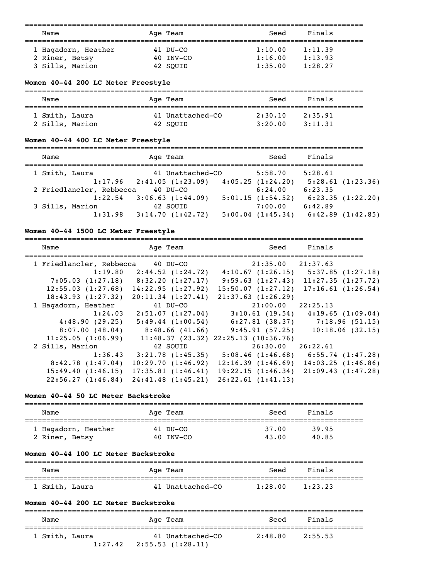===============================================================================

| Name                | Age Team  | Seed    | Finals  |  |
|---------------------|-----------|---------|---------|--|
| 1 Haqadorn, Heather | 41 DU-CO  | 1:10.00 | 1:11.39 |  |
| 2 Riner, Betsy      | 40 INV-CO | 1:16.00 | 1:13.93 |  |
| 3 Sills, Marion     | 42 SOUID  | 1:35.00 | 1:28.27 |  |

## **Women 40-44 200 LC Meter Freestyle**

| Name            |  | Age Team         | Seed    | Finals  |
|-----------------|--|------------------|---------|---------|
| 1 Smith, Laura  |  | 41 Unattached-CO | 2:30.10 | 2:35.91 |
| 2 Sills, Marion |  | 42 SOUID         | 3:20.00 | 3:11.31 |

## **Women 40-44 400 LC Meter Freestyle**

| Name                     | Age Team                        | Seed                  | Finals  |                  |
|--------------------------|---------------------------------|-----------------------|---------|------------------|
| 1 Smith, Laura           | 41 Unattached-CO                | 5:58.70               | 5:28.61 |                  |
|                          | $1:17.96$ $2:41.05$ $(1:23.09)$ | 4:05.25(1:24.20)      |         | 5:28.61(1:23.36) |
| 2 Friedlancler, Rebbecca | $40$ DU-CO                      | 6:24.00               | 6:23.35 |                  |
| 1:22.54                  | 3:06.63(1:44.09)                | 5:01.15(1:54.52)      |         | 6:23.35(1:22.20) |
| 3 Sills, Marion          | 42 SOUID                        | 7:00.00               | 6:42.89 |                  |
| 1:31.98                  | 3:14.70(1:42.72)                | $5:00.04$ $(1:45.34)$ |         | 6:42.89(1:42.85) |

#### **Women 40-44 1500 LC Meter Freestyle**

| Name                     | Age Team           | Seed                                   | Finals                                      |
|--------------------------|--------------------|----------------------------------------|---------------------------------------------|
|                          |                    |                                        |                                             |
| 1 Friedlancler, Rebbecca | 40 DU-CO           | $21:35.00$ $21:37.63$                  |                                             |
| 1:19.80                  | 2:44.52 (1:24.72)  | 4:10.67(1:26.15)                       | 5:37.85(1:27.18)                            |
| 7:05.03(1:27.18)         | 8:32.20 (1:27.17)  | 9:59.63(1:27.43)                       | 11:27.35(1:27.72)                           |
| 12:55.03(1:27.68)        | 14:22.95(1:27.92)  | 15:50.07(1:27.12)                      | 17:16.61(1:26.54)                           |
| 18:43.93(1:27.32)        | 20:11.34(1:27.41)  | 21:37.63(1:26.29)                      |                                             |
| 1 Hagadorn, Heather      | 41 DU-CO           | $21:00.00$ $22:25.13$                  |                                             |
| 1:24.03                  | 2:51.07 (1:27.04)  | 3:10.61(19.54)                         | 4:19.65(1:09.04)                            |
| 4:48.90(29.25)           | 5:49.44(1:00.54)   | 6:27.81(38.37)                         | 7:18.96(51.15)                              |
| 8:07.00(48.04)           | 8:48.66 (41.66)    | 9:45.91(57.25)                         | 10:18.06(32.15)                             |
| 11:25.05(1:06.99)        |                    | $11:48.37$ (23.32) 22:25.13 (10:36.76) |                                             |
| 2 Sills, Marion          | 42 SOUID           | 26:30.00 26:22.61                      |                                             |
| 1:36.43                  | 3:21.78(1:45.35)   |                                        | $5:08.46$ $(1:46.68)$ $6:55.74$ $(1:47.28)$ |
| 8:42.78(1:47.04)         | 10:29.70(1:46.92)  | 12:16.39(1:46.69)                      | 14:03.25(1:46.86)                           |
| 15:49.40(1:46.15)        | 17:35.81(1:46.41)  | 19:22.15(1:46.34)                      | 21:09.43(1:47.28)                           |
| 22:56.27(1:46.84)        | 24:41.48 (1:45.21) | 26:22.61(1:41.13)                      |                                             |

#### **Women 40-44 50 LC Meter Backstroke**

| Name                                  | Age Team              | Seed           | Finals         |  |
|---------------------------------------|-----------------------|----------------|----------------|--|
| 1 Hagadorn, Heather<br>2 Riner, Betsy | 41 DU-CO<br>40 INV-CO | 37.00<br>43.00 | 39.95<br>40.85 |  |

#### **Women 40-44 100 LC Meter Backstroke**

| Name           | Age Team         | Seed    | Finals  |  |
|----------------|------------------|---------|---------|--|
| 1 Smith, Laura | 41 Unattached-CO | 1:28.00 | 1:23.23 |  |

#### **Women 40-44 200 LC Meter Backstroke**

| Name           |         | Age Team                             | Seed    | Finals  |  |
|----------------|---------|--------------------------------------|---------|---------|--|
| 1 Smith, Laura | 1:27.42 | 41 Unattached-CO<br>2:55.53(1:28.11) | 2:48.80 | 2:55.53 |  |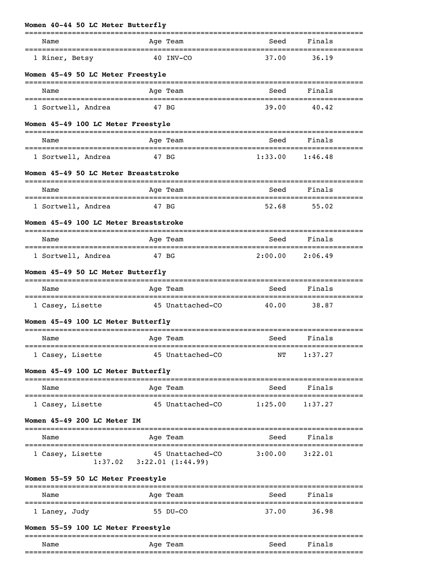| Name                                  | Age Team                         | Seed             | Finals  |
|---------------------------------------|----------------------------------|------------------|---------|
| 1 Riner, Betsy                        | 40 INV-CO                        | 37.00            | 36.19   |
| Women 45-49 50 LC Meter Freestyle     |                                  |                  |         |
| Name                                  | Age Team                         | Seed             | Finals  |
| 1 Sortwell, Andrea                    | 47 BG                            | 39.00            | 40.42   |
| Women 45-49 100 LC Meter Freestyle    |                                  | ---------------- |         |
| Name                                  | Age Team                         | Seed             | Finals  |
| 1 Sortwell, Andrea                    | 47 BG                            | 1:33.00          | 1:46.48 |
| Women 45-49 50 LC Meter Breaststroke  | ================================ |                  |         |
|                                       |                                  |                  |         |
| Name<br>----------------------        | Age Team<br>===================  | Seed             | Finals  |
| 1 Sortwell, Andrea                    | 47 BG                            | 52.68            | 55.02   |
| Women 45-49 100 LC Meter Breaststroke |                                  |                  |         |
| Name                                  | Age Team                         | Seed             | Finals  |
| 1 Sortwell, Andrea                    | 47 BG                            | 2:00.00          | 2:06.49 |
| Women 45-49 50 LC Meter Butterfly     |                                  |                  |         |
| Name                                  | Age Team                         | Seed             | Finals  |
| 1 Casey, Lisette                      | 45 Unattached-CO                 | 40.00            | 38.87   |
| Women 45-49 100 LC Meter Butterfly    |                                  |                  |         |
| Name                                  | Age Team                         | Seed             | Finals  |

## =============================================================================== Name Register Age Team Name Seed Finals =============================================================================== 1 Casey, Lisette 45 Unattached-CO 1:25.00 1:37.27

## **Women 45-49 200 LC Meter IM**

| Name             |         | Age Team                             | Seed    | Finals  |  |
|------------------|---------|--------------------------------------|---------|---------|--|
| 1 Casey, Lisette | 1:37.02 | 45 Unattached-CO<br>3:22.01(1:44.99) | 3:00.00 | 3:22.01 |  |

## **Women 55-59 50 LC Meter Freestyle**

| Name          | Age Team | Seed  | Finals |
|---------------|----------|-------|--------|
| 1 Laney, Judy | 55 DU-CO | 37.00 | 36.98  |

## **Women 55-59 100 LC Meter Freestyle**

| ___<br>__        |     |      | ___ |
|------------------|-----|------|-----|
| Name             | Age | `eer |     |
| ________________ |     | ____ | ___ |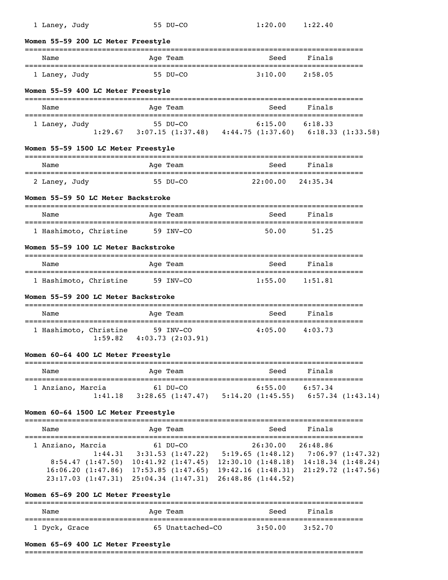| 1 Laney, Judy                                                 | 55 DU-CO                                                                                                                                                                                                                                                                                           | 1:20.00                                | 1:22.40                      |  |
|---------------------------------------------------------------|----------------------------------------------------------------------------------------------------------------------------------------------------------------------------------------------------------------------------------------------------------------------------------------------------|----------------------------------------|------------------------------|--|
| Women 55-59 200 LC Meter Freestyle<br>----------------------- |                                                                                                                                                                                                                                                                                                    |                                        |                              |  |
| Name                                                          | Age Team                                                                                                                                                                                                                                                                                           | Seed                                   | Finals                       |  |
| 1 Laney, Judy                                                 | 55 DU-CO                                                                                                                                                                                                                                                                                           | 3:10.00                                | 2:58.05                      |  |
| Women 55-59 400 LC Meter Freestyle                            |                                                                                                                                                                                                                                                                                                    |                                        |                              |  |
| Name                                                          | Age Team                                                                                                                                                                                                                                                                                           | Seed                                   | Finals                       |  |
| 1 Laney, Judy                                                 | $55 \text{ DU}-CO$ $6:15.00$ $6:18.33$<br>1:29.67 3:07.15 (1:37.48) $4:44.75$ (1:37.60) $6:18.33$ (1:33.58)                                                                                                                                                                                        |                                        |                              |  |
| Women 55-59 1500 LC Meter Freestyle                           |                                                                                                                                                                                                                                                                                                    |                                        |                              |  |
| Name<br>__________________________                            | Age Team                                                                                                                                                                                                                                                                                           | Seed                                   | Finals                       |  |
| 2 Laney, Judy                                                 | 55 DU-CO                                                                                                                                                                                                                                                                                           | 22:00.00                               | 24:35.34                     |  |
| Women 55-59 50 LC Meter Backstroke                            |                                                                                                                                                                                                                                                                                                    |                                        |                              |  |
| Name                                                          | Age Team                                                                                                                                                                                                                                                                                           | Seed                                   | Finals                       |  |
| 1 Hashimoto, Christine 59 INV-CO                              |                                                                                                                                                                                                                                                                                                    | 50.00                                  | 51.25                        |  |
| Women 55-59 100 LC Meter Backstroke                           |                                                                                                                                                                                                                                                                                                    |                                        |                              |  |
| Name                                                          | Age Team                                                                                                                                                                                                                                                                                           | Seed                                   | Finals                       |  |
| 1 Hashimoto, Christine                                        | 59 INV-CO                                                                                                                                                                                                                                                                                          | 1:55.00                                | 1:51.81                      |  |
| Women 55-59 200 LC Meter Backstroke                           |                                                                                                                                                                                                                                                                                                    |                                        |                              |  |
| Name                                                          | Age Team                                                                                                                                                                                                                                                                                           | Seed                                   | Finals                       |  |
| 1 Hashimoto, Christine 59 INV-CO                              | $1:59.82$ $4:03.73$ $(2:03.91)$                                                                                                                                                                                                                                                                    | 4:05.00                                | 4:03.73                      |  |
| Women 60-64 400 LC Meter Freestyle                            |                                                                                                                                                                                                                                                                                                    |                                        |                              |  |
| Name                                                          | Age Team                                                                                                                                                                                                                                                                                           | ==============================<br>Seed | ==================<br>Finals |  |
| 1 Anziano, Marcia                                             | 61 DU-CO<br>1:41.18    3:28.65    (1:47.47)    5:14.20    (1:45.55)    6:57.34    (1:43.14)                                                                                                                                                                                                        | $6:55.00$ $6:57.34$                    |                              |  |
| Women 60-64 1500 LC Meter Freestyle                           |                                                                                                                                                                                                                                                                                                    |                                        |                              |  |
| Name                                                          | Age Team                                                                                                                                                                                                                                                                                           | Seed                                   | Finals                       |  |
| 1 Anziano, Marcia                                             | 61 DU-CO<br>1:44.31 3:31.53 (1:47.22) 5:19.65 (1:48.12) 7:06.97 (1:47.32)<br>8:54.47 (1:47.50) 10:41.92 (1:47.45) 12:30.10 (1:48.18) 14:18.34 (1:48.24)<br>16:06.20 (1:47.86) 17:53.85 (1:47.65) 19:42.16 (1:48.31) 21:29.72 (1:47.56)<br>23:17.03 (1:47.31) 25:04.34 (1:47.31) 26:48.86 (1:44.52) | 26:30.00 26:48.86                      |                              |  |
| Women 65-69 200 LC Meter Freestyle                            |                                                                                                                                                                                                                                                                                                    |                                        |                              |  |

=============================================================================== Seed Finals =============================================================================== 1 Dyck, Grace 65 Unattached-CO 3:50.00 3:52.70

## **Women 65-69 400 LC Meter Freestyle**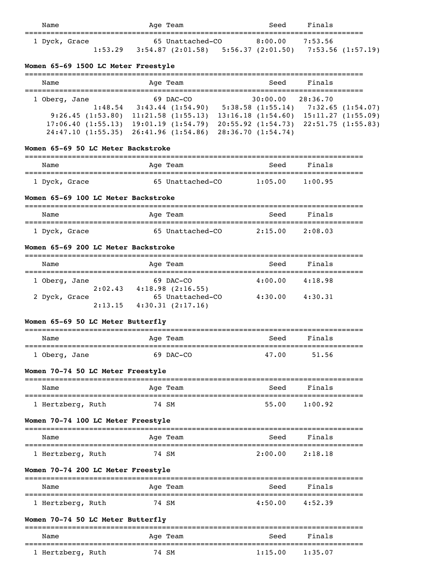| Name          |         | Age Team                                                | Seed    | Finals  |  |
|---------------|---------|---------------------------------------------------------|---------|---------|--|
| 1 Dyck, Grace |         | 65 Unattached-CO                                        | 8:00.00 | 7:53.56 |  |
|               | 1:53.29 | $3:54.87$ (2:01.58) 5:56.37 (2:01.50) 7:53.56 (1:57.19) |         |         |  |

#### **Women 65-69 1500 LC Meter Freestyle**

| Name                                                                                   | Age Team                                                                                            | Seed                                                                                         | Finals                                                                  |
|----------------------------------------------------------------------------------------|-----------------------------------------------------------------------------------------------------|----------------------------------------------------------------------------------------------|-------------------------------------------------------------------------|
| 1 Oberg, Jane<br>1:48.54<br>9:26.45(1:53.80)<br>17:06.40(1:55.13)<br>24:47.10(1:55.35) | $69$ DAC-CO<br>$3:43.44$ $(1:54.90)$<br>11:21.58(1:55.13)<br>19:01.19(1:54.79)<br>26:41.96(1:54.86) | 30:00.00<br>5:38.58(1:55.14)<br>13:16.18(1:54.60)<br>20:55.92(1:54.73)<br>28:36.70 (1:54.74) | 28:36.70<br>7:32.65 (1:54.07)<br>15:11.27(1:55.09)<br>22:51.75(1:55.83) |

## **Women 65-69 50 LC Meter Backstroke**

| Name          | Age Team         | Seed    | Finals  |  |
|---------------|------------------|---------|---------|--|
| 1 Dyck, Grace | 65 Unattached-CO | 1:05.00 | 1:00.95 |  |

## **Women 65-69 100 LC Meter Backstroke**

| Name          | Age Team         | Seed    | Finals  |  |
|---------------|------------------|---------|---------|--|
| 1 Dyck, Grace | 65 Unattached-CO | 2:15.00 | 2:08.03 |  |

#### **Women 65-69 200 LC Meter Backstroke**

| Name          |         | Age Team                                  | Seed    | Finals  |
|---------------|---------|-------------------------------------------|---------|---------|
| 1 Oberg, Jane |         | 69 DAC-CO                                 | 4:00.00 | 4:18.98 |
| 2 Dyck, Grace | 2:02.43 | $4:18.98$ $(2:16.55)$<br>65 Unattached-CO | 4:30.00 | 4:30.31 |
|               | 2:13.15 | 4:30.31(2:17.16)                          |         |         |

# **Women 65-69 50 LC Meter Butterfly**

| Name          |  | Age Team  | Seed  | Finals |
|---------------|--|-----------|-------|--------|
| 1 Oberg, Jane |  | 69 DAC-CO | 47.00 | 51.56  |

## **Women 70-74 50 LC Meter Freestyle**

| Name              | Age Team | Finals<br>Seed   |
|-------------------|----------|------------------|
| 1 Hertzberg, Ruth | 74 SM    | 55.00<br>1:00.92 |

## **Women 70-74 100 LC Meter Freestyle**

| Name              | Age Team | Seed    | Finals  |  |
|-------------------|----------|---------|---------|--|
| 1 Hertzberg, Ruth | 74 SM    | 2:00.00 | 2:18.18 |  |

## **Women 70-74 200 LC Meter Freestyle**

| Name              | Age Team | Finals<br>Seed     |  |
|-------------------|----------|--------------------|--|
| 1 Hertzberg, Ruth | 74 SM    | 4:50.00<br>4:52.39 |  |

## **Women 70-74 50 LC Meter Butterfly**

| Name              | Age Team | Seed    | Finals  |  |
|-------------------|----------|---------|---------|--|
| 1 Hertzberg, Ruth | 74 SM    | 1:15.00 | 1:35.07 |  |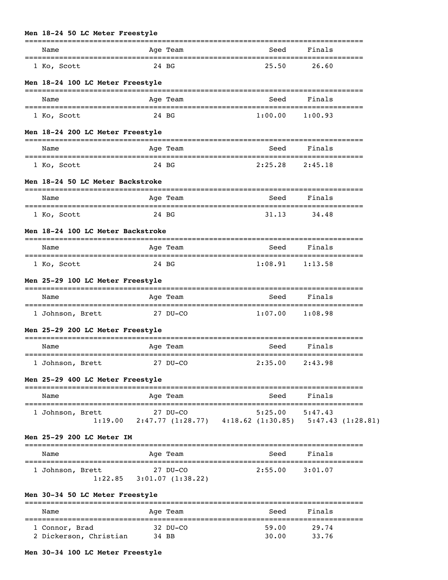#### **Men 18-24 50 LC Meter Freestyle**

|                                            |                                   | ====================              |                    |         |                                                                          |
|--------------------------------------------|-----------------------------------|-----------------------------------|--------------------|---------|--------------------------------------------------------------------------|
| Name                                       |                                   | Age Team                          |                    | Seed    | Finals                                                                   |
| 1 Ko, Scott                                | 24 BG                             |                                   |                    | 25.50   | 26.60                                                                    |
| Men 18-24 100 LC Meter Freestyle           |                                   |                                   |                    |         |                                                                          |
| ==================================<br>Name |                                   | Age Team                          |                    | Seed    | Finals                                                                   |
| 1 Ko, Scott                                | 24 BG                             |                                   |                    | 1:00.00 | 1:00.93                                                                  |
| Men 18-24 200 LC Meter Freestyle           |                                   |                                   |                    |         |                                                                          |
| Name                                       |                                   | Age Team                          |                    | Seed    | Finals                                                                   |
| 1 Ko, Scott                                |                                   | 24 BG                             |                    | 2:25.28 | 2:45.18                                                                  |
| Men 18-24 50 LC Meter Backstroke           |                                   |                                   |                    |         |                                                                          |
| Name                                       | ---------------------             | Age Team                          |                    | Seed    | Finals                                                                   |
| 1 Ko, Scott                                | 24 BG                             |                                   |                    | 31.13   | 34.48                                                                    |
|                                            | Men 18-24 100 LC Meter Backstroke |                                   |                    |         |                                                                          |
| Name                                       |                                   | Age Team                          |                    | Seed    | Finals                                                                   |
| 1 Ko, Scott                                | 24 BG                             |                                   |                    | 1:08.91 | 1:13.58                                                                  |
|                                            | Men 25-29 100 LC Meter Freestyle  |                                   |                    |         |                                                                          |
| Name                                       |                                   | Age Team                          |                    | Seed    | Finals                                                                   |
| 1 Johnson, Brett                           |                                   | 27 DU-CO                          |                    | 1:07.00 | 1:08.98                                                                  |
| Men 25-29 200 LC Meter Freestyle           |                                   |                                   |                    |         |                                                                          |
| Name                                       |                                   | =====================<br>Age Team |                    | Seed    | Finals                                                                   |
| 1 Johnson, Brett                           |                                   | 27 DU-CO                          |                    | 2:35.00 | 2:43.98                                                                  |
| Men 25-29 400 LC Meter Freestyle           |                                   |                                   |                    |         |                                                                          |
| Name                                       |                                   | ---------<br>Age Team             | __________________ | Seed    | Finals                                                                   |
| 1 Johnson, Brett                           |                                   | $27$ DU-CO                        |                    | 5:25.00 | 5:47.43<br>1:19.00 2:47.77 (1:28.77) 4:18.62 (1:30.85) 5:47.43 (1:28.81) |
| Men 25-29 200 LC Meter IM                  |                                   |                                   |                    |         |                                                                          |
|                                            |                                   | Age Team                          |                    | Seed    | Finals                                                                   |
| Name                                       |                                   |                                   |                    |         |                                                                          |

## =============================================================================== Name and Age Team and Seed Finals =============================================================================== 1 Connor, Brad 32 DU-CO 2 Dickerson, Christian 34 BB

#### **Men 30-34 100 LC Meter Freestyle**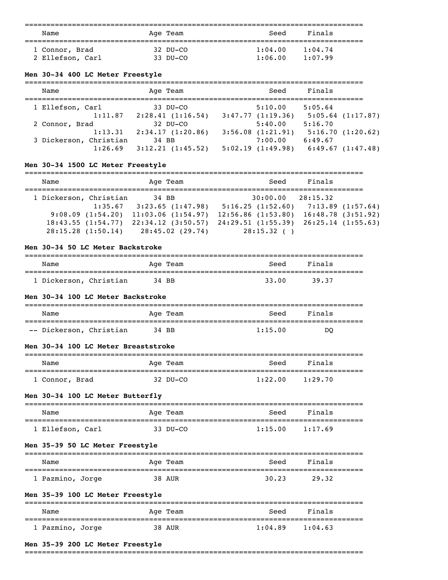| Name             | Age Team | Seed    | Finals  |  |
|------------------|----------|---------|---------|--|
| 1 Connor, Brad   | 32 DU-CO | 1:04.00 | 1:04.74 |  |
| 2 Ellefson, Carl | 33 DU-CO | 1:06.00 | 1:07.99 |  |

## **Men 30-34 400 LC Meter Freestyle**

| Name                   |         | Age Team                       | Seed                             | Finals  |                       |
|------------------------|---------|--------------------------------|----------------------------------|---------|-----------------------|
| 1 Ellefson, Carl       | 1:11.87 | 33 DU-CO<br>2:28.41(1:16.54)   | 5:10.00<br>3:47.77(1:19.36)      | 5:05.64 | $5:05.64$ $(1:17.87)$ |
| 2 Connor, Brad         | 1:13.31 | $32$ DU-CO<br>2:34.17(1:20.86) | 5:40.00<br>$3:56.08$ $(1:21.91)$ | 5:16.70 | 5:16.70(1:20.62)      |
| 3 Dickerson, Christian | 1:26.69 | 34 BB<br>3:12.21(1:45.52)      | 7:00.00<br>5:02.19(1:49.98)      | 6:49.67 | 6:49.67(1:47.48)      |

## **Men 30-34 1500 LC Meter Freestyle**

| Name                                                                                 |         | Age Team                                                                                     | Seed                                                                                      | Finals   |                                                                 |
|--------------------------------------------------------------------------------------|---------|----------------------------------------------------------------------------------------------|-------------------------------------------------------------------------------------------|----------|-----------------------------------------------------------------|
| 1 Dickerson, Christian<br>9:08.09(1:54.20)<br>18:43.55(1:54.77)<br>28:15.28(1:50.14) | 1:35.67 | 34 BB<br>3:23.65(1:47.98)<br>11:03.06(1:54.97)<br>$22:34.12$ $(3:50.57)$<br>28:45.02 (29.74) | 30:00.00<br>5:16.25(1:52.60)<br>$12:56.86$ $(1:53.80)$<br>24:29.51(1:55.39)<br>28:15.32() | 28:15.32 | 7:13.89(1:57.64)<br>16:48.78(3:51.92)<br>$26:25.14$ $(1:55.63)$ |

#### **Men 30-34 50 LC Meter Backstroke**

| Name                   | Age Team | Seed  | Finals  |
|------------------------|----------|-------|---------|
| 1 Dickerson, Christian | 34 BB    | 33.00 | - 39.37 |

#### **Men 30-34 100 LC Meter Backstroke**

| Name                    | Age Team | Seed    | Finals |
|-------------------------|----------|---------|--------|
|                         |          |         |        |
| -- Dickerson, Christian | 34 BB    | 1:15.00 | DO     |

#### **Men 30-34 100 LC Meter Breaststroke**

| Name           | Age Team | Seed    | Finals  |  |
|----------------|----------|---------|---------|--|
|                |          |         |         |  |
| 1 Connor, Brad | 32 DU-CO | 1:22.00 | 1:29.70 |  |

#### **Men 30-34 100 LC Meter Butterfly**

| Name             | Age Team | Seed    | Finals  |
|------------------|----------|---------|---------|
|                  |          |         |         |
| 1 Ellefson, Carl | 33 DU-CO | 1:15.00 | 1:17.69 |

## **Men 35-39 50 LC Meter Freestyle**

| Name             | Age Team | Seed  | Finals |
|------------------|----------|-------|--------|
| 1 Pazmino, Jorge | 38 AUR   | 30.23 | 29.32  |

## **Men 35-39 100 LC Meter Freestyle**

| Name             | Age Team | Seed    | Finals  |
|------------------|----------|---------|---------|
| 1 Pazmino, Jorge | 38 AUR   | 1:04.89 | 1:04.63 |

#### **Men 35-39 200 LC Meter Freestyle**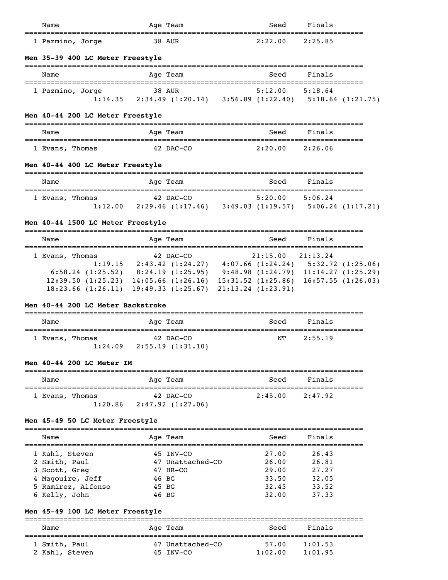| Name                                                                                                                                                                                                                                    |               | Age Team                                                                    | Seed                | Finals |  |
|-----------------------------------------------------------------------------------------------------------------------------------------------------------------------------------------------------------------------------------------|---------------|-----------------------------------------------------------------------------|---------------------|--------|--|
| 1 Pazmino, Jorge                                                                                                                                                                                                                        | <b>38 AUR</b> |                                                                             | $2:22.00$ $2:25.85$ |        |  |
| Men 35-39 400 LC Meter Freestyle                                                                                                                                                                                                        |               |                                                                             |                     |        |  |
| Name                                                                                                                                                                                                                                    |               | Age Team                                                                    | Seed                | Finals |  |
| 1 Pazmino, Jorge                                                                                                                                                                                                                        | <b>38 AUR</b> | 1:14.35 2:34.49 (1:20.14) 3:56.89 (1:22.40) 5:18.64 (1:21.75)               | $5:12.00$ $5:18.64$ |        |  |
| Men 40-44 200 LC Meter Freestyle                                                                                                                                                                                                        |               |                                                                             |                     |        |  |
| Name                                                                                                                                                                                                                                    |               | Age Team                                                                    | Seed                | Finals |  |
| 1 Evans, Thomas                                                                                                                                                                                                                         | 42 DAC-CO     |                                                                             | $2:20.00$ $2:26.06$ |        |  |
| Men 40-44 400 LC Meter Freestyle                                                                                                                                                                                                        |               |                                                                             |                     |        |  |
| Name                                                                                                                                                                                                                                    |               | Age Team                                                                    | Seed                | Finals |  |
| 1 Evans, Thomas                                                                                                                                                                                                                         | $42$ DAC-CO   | $1:12.00$ $2:29.46$ $(1:17.46)$ $3:49.03$ $(1:19.57)$ $5:06.24$ $(1:17.21)$ | $5:20.00$ $5:06.24$ |        |  |
| Men 40-44 1500 LC Meter Freestyle                                                                                                                                                                                                       |               |                                                                             |                     |        |  |
| Name                                                                                                                                                                                                                                    |               | Age Team                                                                    | Seed                | Finals |  |
| $1 \text{ times }$ Theory Theory (19, 00, 00, 00, 00, 00, 00, 01, 19, 00, 01, 19, 00, 01, 19, 00, 01, 19, 00, 01, 19, 00, 01, 19, 00, 01, 19, 00, 01, 19, 00, 01, 19, 00, 01, 19, 00, 01, 19, 00, 01, 19, 00, 01, 19, 00, 01, 19, 00, 0 |               |                                                                             |                     |        |  |

| 1 Evans, Thomas | 42 DAC-CO                                                                                   | 21:15.00 21:13.24 |                                             |
|-----------------|---------------------------------------------------------------------------------------------|-------------------|---------------------------------------------|
|                 | $1:19.15$ $2:43.42$ $(1:24.27)$                                                             |                   | $4:07.66$ $(1:24.24)$ $5:32.72$ $(1:25.06)$ |
|                 | $6:58.24$ (1:25.52) $8:24.19$ (1:25.95) $9:48.98$ (1:24.79) 11:14.27 (1:25.29)              |                   |                                             |
|                 | $12:39.50$ $(1:25.23)$ $14:05.66$ $(1:26.16)$ $15:31.52$ $(1:25.86)$ $16:57.55$ $(1:26.03)$ |                   |                                             |
|                 | $18:23.66$ $(1:26.11)$ $19:49.33$ $(1:25.67)$ $21:13.24$ $(1:23.91)$                        |                   |                                             |

## **Men 40-44 200 LC Meter Backstroke**

| Name |                            | Age Team                      | Seed | Finals  |
|------|----------------------------|-------------------------------|------|---------|
|      | 1 Evans, Thomas<br>1:24.09 | 42 DAC-CO<br>2:55.19(1:31.10) | NТ   | 2:55.19 |

## **Men 40-44 200 LC Meter IM**

| Name |                 | Age Team          | Seed    | Finals  |  |
|------|-----------------|-------------------|---------|---------|--|
|      | 1 Evans, Thomas | 42 DAC-CO         | 2:45.00 | 2:47.92 |  |
|      | 1:20.86         | 2:47.92 (1:27.06) |         |         |  |

## **Men 45-49 50 LC Meter Freestyle**

|                    |  | Seed                                                                             | Finals |  |
|--------------------|--|----------------------------------------------------------------------------------|--------|--|
| 1 Kahl, Steven     |  | 27.00                                                                            | 26.43  |  |
| 2 Smith, Paul      |  | 26.00                                                                            | 26.81  |  |
| 3 Scott, Greg      |  | 29.00                                                                            | 27.27  |  |
| 4 Magouire, Jeff   |  | 33.50                                                                            | 32.05  |  |
| 5 Ramirez, Alfonso |  | 32.45                                                                            | 33.52  |  |
| 6 Kelly, John      |  | 32.00                                                                            | 37.33  |  |
|                    |  | Age Team<br>45 INV-CO<br>47 Unattached-CO<br>47 HR-CO<br>46 BG<br>45 BG<br>46 BG |        |  |

## **Men 45-49 100 LC Meter Freestyle**

| Name           | Age Team         | Seed    | Finals  |  |
|----------------|------------------|---------|---------|--|
| 1 Smith, Paul  | 47 Unattached-CO | 57.00   | 1:01.53 |  |
| 2 Kahl, Steven | 45 TNV-CO        | 1:02.00 | 1:01.95 |  |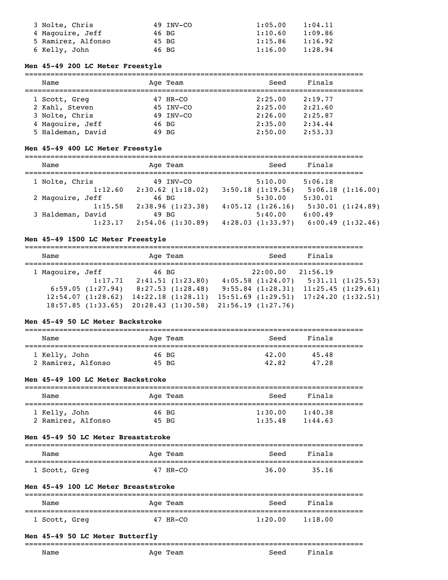| 3 Nolte, Chris     | 49 INV-CO | 1:05.00 | 1:04.11 |
|--------------------|-----------|---------|---------|
| 4 Magouire, Jeff   | 46 BG     | 1:10.60 | 1:09.86 |
| 5 Ramirez, Alfonso | 45 BG     | 1:15.86 | 1:16.92 |
| 6 Kelly, John      | 46 BG     | 1:16.00 | 1:28.94 |

## **Men 45-49 200 LC Meter Freestyle**

| Name           |                   |       | Age Team  | Seed    | Finals  |  |
|----------------|-------------------|-------|-----------|---------|---------|--|
| 1 Scott, Greg  |                   |       | 47 HR-CO  | 2:25.00 | 2:19.77 |  |
|                | 2 Kahl, Steven    |       | 45 INV-CO | 2:25.00 | 2:21.60 |  |
| 3 Nolte, Chris |                   |       | 49 INV-CO | 2:26.00 | 2:25.87 |  |
|                | 4 Magouire, Jeff  |       | 46 BG     | 2:35.00 | 2:34.44 |  |
|                | 5 Haldeman, David | 49 BG |           | 2:50.00 | 2:53.33 |  |
|                |                   |       |           |         |         |  |

#### **Men 45-49 400 LC Meter Freestyle**

===============================================================================

| Name              | Age Team              | Seed             | Finals           |
|-------------------|-----------------------|------------------|------------------|
| 1 Nolte, Chris    | 49 INV-CO             | 5:10.00          | 5:06.18          |
| 1:12.60           | $2:30.62$ $(1:18.02)$ | 3:50.18(1:19.56) | 5:06.18(1:16.00) |
| 2 Magouire, Jeff  | 46 BG                 | 5:30.00          | 5:30.01          |
| 1:15.58           | 2:38.96(1:23.38)      | 4:05.12(1:26.16) | 5:30.01(1:24.89) |
| 3 Haldeman, David | 49 BG                 | 5:40.00          | 6:00.49          |
| 1:23.17           | 2:54.06(1:30.89)      | 4:28.03(1:33.97) | 6:00.49(1:32.46) |
|                   |                       |                  |                  |

#### **Men 45-49 1500 LC Meter Freestyle**

===============================================================================

| Name             |                   | Age Team                              | Seed                  | Finals                                        |  |
|------------------|-------------------|---------------------------------------|-----------------------|-----------------------------------------------|--|
| 1 Magouire, Jeff |                   | 46 BG                                 | 22:00.00              | 21:56.19                                      |  |
|                  | 1:17.71           | 2:41.51(1:23.80)                      | $4:05.58$ $(1:24.07)$ | 5:31.11(1:25.53)                              |  |
|                  | 6:59.05(1:27.94)  | 8:27.53(1:28.48)                      |                       | $9:55.84$ $(1:28.31)$ $11:25.45$ $(1:29.61)$  |  |
|                  | 12:54.07(1:28.62) | 14:22.18(1:28.11)                     |                       | $15:51.69$ $(1:29.51)$ $17:24.20$ $(1:32.51)$ |  |
|                  | 18:57.85(1:33.65) | 20:28.43 (1:30.58) 21:56.19 (1:27.76) |                       |                                               |  |

#### **Men 45-49 50 LC Meter Backstroke**

| Name               | Age Team | Seed  | Finals |  |
|--------------------|----------|-------|--------|--|
| 1 Kelly, John      | 46 BG    | 42.00 | 45.48  |  |
| 2 Ramirez, Alfonso | 45 BG    | 42.82 | 47.28  |  |

## **Men 45-49 100 LC Meter Backstroke**

| Name               | Age Team | Seed    | Finals  |  |
|--------------------|----------|---------|---------|--|
| 1 Kelly, John      | 46 BG    | 1:30.00 | 1:40.38 |  |
| 2 Ramirez, Alfonso | 45 BG    | 1:35.48 | 1:44.63 |  |

#### **Men 45-49 50 LC Meter Breaststroke**

| Name          | Age Team | Seed  | Finals |  |
|---------------|----------|-------|--------|--|
| 1 Scott, Greg | 47 HR-CO | 36.00 | 35.16  |  |

#### **Men 45-49 100 LC Meter Breaststroke**

| Name          | Age Team | Seed    | Finals  |  |
|---------------|----------|---------|---------|--|
| 1 Scott, Greg | 47 HR-CO | 1:20.00 | 1:18.00 |  |

#### **Men 45-49 50 LC Meter Butterfly**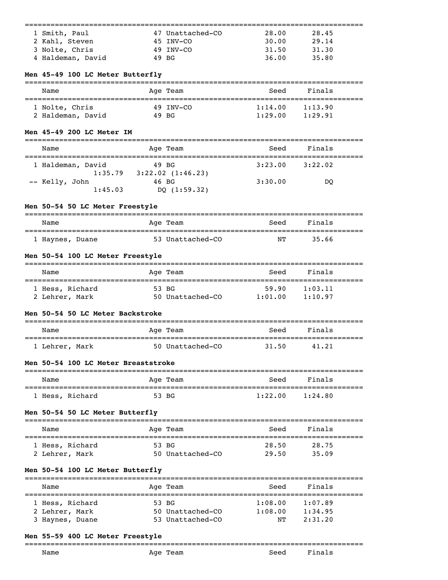| 1 Smith, Paul                                                                   |            | 47 Unattached-CO                | 28.00               | 28.45                                 |  |
|---------------------------------------------------------------------------------|------------|---------------------------------|---------------------|---------------------------------------|--|
| 2 Kahl, Steven                                                                  |            | 45 INV-CO                       | 30.00               | 29.14                                 |  |
| 3 Nolte, Chris                                                                  |            | 49 INV-CO                       | 31.50               | 31.30                                 |  |
| 4 Haldeman, David                                                               |            | 49 BG                           | 36.00               | 35.80                                 |  |
| Men 45-49 100 LC Meter Butterfly                                                |            |                                 |                     |                                       |  |
| Name                                                                            |            | Age Team                        | Seed                | Finals                                |  |
| 1 Nolte, Chris                                                                  |            | 49 INV-CO                       | 1:14.00             | 1:13.90                               |  |
| 2 Haldeman, David                                                               | 49 BG      |                                 | $1:29.00$ $1:29.91$ |                                       |  |
| Men 45-49 200 LC Meter IM<br>===================================                |            |                                 |                     |                                       |  |
| Name<br>==============================                                          |            | Age Team                        | Seed                | Finals                                |  |
| 1 Haldeman, David                                                               |            | 49 BG                           | 3:23.00             | 3:22.02                               |  |
| -- Kelly, John                                                                  | 46 BG      | $1:35.79$ $3:22.02$ $(1:46.23)$ | 3:30.00             | DQ                                    |  |
| 1:45.03                                                                         |            | DQ (1:59.32)                    |                     |                                       |  |
| Men 50-54 50 LC Meter Freestyle                                                 |            |                                 |                     |                                       |  |
| Name                                                                            |            | Age Team                        | Seed                | Finals                                |  |
| 1 Haynes, Duane                                                                 |            | 53 Unattached-CO                | NΤ                  | 35.66                                 |  |
|                                                                                 |            |                                 |                     |                                       |  |
| Men 50-54 100 LC Meter Freestyle                                                |            |                                 |                     |                                       |  |
| Name                                                                            |            | Age Team                        | Seed                | Finals                                |  |
| 1 Hess, Richard                                                                 |            | 53 BG                           | 59.90               | 1:03.11                               |  |
| 2 Lehrer, Mark                                                                  |            | 50 Unattached-CO 1:01.00        |                     | 1:10.97                               |  |
| Men 50-54 50 LC Meter Backstroke                                                |            |                                 |                     |                                       |  |
| Name                                                                            | :========= | Age Team                        | Seed                | Finals<br>--------------------------- |  |
| 1 Lehrer, Mark                                                                  |            | 50 Unattached-CO                | 31.50               | 41.21                                 |  |
| Men 50-54 100 LC Meter Breaststroke                                             |            |                                 |                     |                                       |  |
| Name                                                                            |            | Age Team                        | Seed                | Finals                                |  |
| 1 Hess, Richard                                                                 |            | 53 BG                           | 1:22.00             | 1:24.80                               |  |
| Men 50-54 50 LC Meter Butterfly                                                 |            |                                 |                     |                                       |  |
| ======================<br>Name                                                  |            | Aqe Team                        | Seed                | Finals                                |  |
| 1 Hess, Richard                                                                 |            | 53 BG                           | 28.50               | 28.75                                 |  |
| 2 Lehrer, Mark                                                                  |            | 50 Unattached-CO                | 29.50               | 35.09                                 |  |
| Men 50-54 100 LC Meter Butterfly<br>========================<br>=============== |            |                                 |                     |                                       |  |
| Name                                                                            |            | Aqe Team                        | Seed                | Finals                                |  |
| 1 Hess, Richard                                                                 |            | 53 BG                           | 1:08.00             | 1:07.89                               |  |
| 2 Lehrer, Mark                                                                  |            | 50 Unattached-CO                | 1:08.00             | 1:34.95                               |  |
| 3 Haynes, Duane                                                                 |            | 53 Unattached-CO                | NΤ                  | 2:31.20                               |  |

# **Men 55-59 400 LC Meter Freestyle**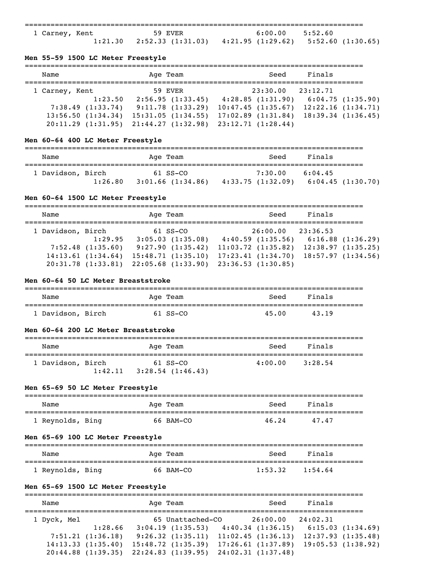| 1 Carney, Kent |         | 59 EVER                                                     | $6:00.00$ 5:52.60 |  |
|----------------|---------|-------------------------------------------------------------|-------------------|--|
|                | 1:21.30 | $2:52.33$ (1:31.03) $4:21.95$ (1:29.62) $5:52.60$ (1:30.65) |                   |  |

## **Men 55-59 1500 LC Meter Freestyle**

| Name              | Age Team          | Seed                   | Finals            |
|-------------------|-------------------|------------------------|-------------------|
| 1 Carney, Kent    | 59 EVER           | 23:30.00               | 23:12.71          |
| 1:23.50           | 2:56.95(1:33.45)  | 4:28.85(1:31.90)       | 6:04.75(1:35.90)  |
| 7:38.49(1:33.74)  | 9:11.78(1:33.29)  | 10:47.45(1:35.67)      | 12:22.16(1:34.71) |
| 13:56.50(1:34.34) | 15:31.05(1:34.55) | $17:02.89$ $(1:31.84)$ | 18:39.34(1:36.45) |
| 20:11.29(1:31.95) | 21:44.27(1:32.98) | 23:12.71(1:28.44)      |                   |

## **Men 60-64 400 LC Meter Freestyle**

| Name              |         |  | Age Team                        |  | Seed                         | Finals  |                  |
|-------------------|---------|--|---------------------------------|--|------------------------------|---------|------------------|
| 1 Davidson, Birch | 1:26.80 |  | 61 SS-CO<br>$3:01.66$ (1:34.86) |  | 7:30.00<br>4:33.75 (1:32.09) | 6:04.45 | 6:04.45(1:30.70) |

## **Men 60-64 1500 LC Meter Freestyle**

| Name              |                                                  | Age Team                                                  | Seed                                                            | Finals   |                                                            |
|-------------------|--------------------------------------------------|-----------------------------------------------------------|-----------------------------------------------------------------|----------|------------------------------------------------------------|
| 1 Davidson, Birch |                                                  | $61$ SS-CO                                                | 26:00.00                                                        | 23:36.53 |                                                            |
|                   | 1:29.95<br>7:52.48(1:35.60)<br>14:13.61(1:34.64) | 3:05.03(1:35.08)<br>9:27.90(1:35.42)<br>15:48.71(1:35.10) | 4:40.59(1:35.56)<br>$11:03.72$ $(1:35.82)$<br>17:23.41(1:34.70) |          | 6:16.88(1:36.29)<br>12:38.97(1:35.25)<br>18:57.97(1:34.56) |
|                   | 20:31.78(1:33.81)                                | $22:05.68$ $(1:33.90)$                                    | 23:36.53(1:30.85)                                               |          |                                                            |

#### **Men 60-64 50 LC Meter Breaststroke**

| Name              | Age Team   | Seed  | Finals |  |
|-------------------|------------|-------|--------|--|
| 1 Davidson, Birch | $61$ SS-CO | 45.00 | 43.19  |  |

#### **Men 60-64 200 LC Meter Breaststroke**

| Name              |         | Age Team            | Seed    | Finals  |
|-------------------|---------|---------------------|---------|---------|
| 1 Davidson, Birch |         | 61 SS-CO            | 4:00.00 | 3:28.54 |
|                   | 1:42.11 | $3:28.54$ (1:46.43) |         |         |

## **Men 65-69 50 LC Meter Freestyle**

| Name             | Age Team  | Seed  | Finals |
|------------------|-----------|-------|--------|
| 1 Reynolds, Bing | 66 BAM-CO | 46.24 | 47.47  |

## **Men 65-69 100 LC Meter Freestyle**

| Name             | Age Team  | Seed    | Finals  |  |
|------------------|-----------|---------|---------|--|
| 1 Reynolds, Bing | 66 BAM-CO | 1:53.32 | 1:54.64 |  |

# **Men 65-69 1500 LC Meter Freestyle**

| Name        |                        | Age Team |                   | Seed               | Finals   |                   |
|-------------|------------------------|----------|-------------------|--------------------|----------|-------------------|
| 1 Dyck, Mel |                        |          | 65 Unattached-CO  | 26:00.00           | 24:02.31 |                   |
|             | 1:28.66                |          | 3:04.19(1:35.53)  | 4:40.34(1:36.15)   |          | 6:15.03(1:34.69)  |
|             | 7:51.21(1:36.18)       |          | 9:26.32(1:35.11)  | 11:02.45(1:36.13)  |          | 12:37.93(1:35.48) |
|             | 14:13.33(1:35.40)      |          | 15:48.72(1:35.39) | 17:26.61(1:37.89)  |          | 19:05.53(1:38.92) |
|             | $20:44.88$ $(1:39.35)$ |          | 22:24.83(1:39.95) | 24:02.31 (1:37.48) |          |                   |